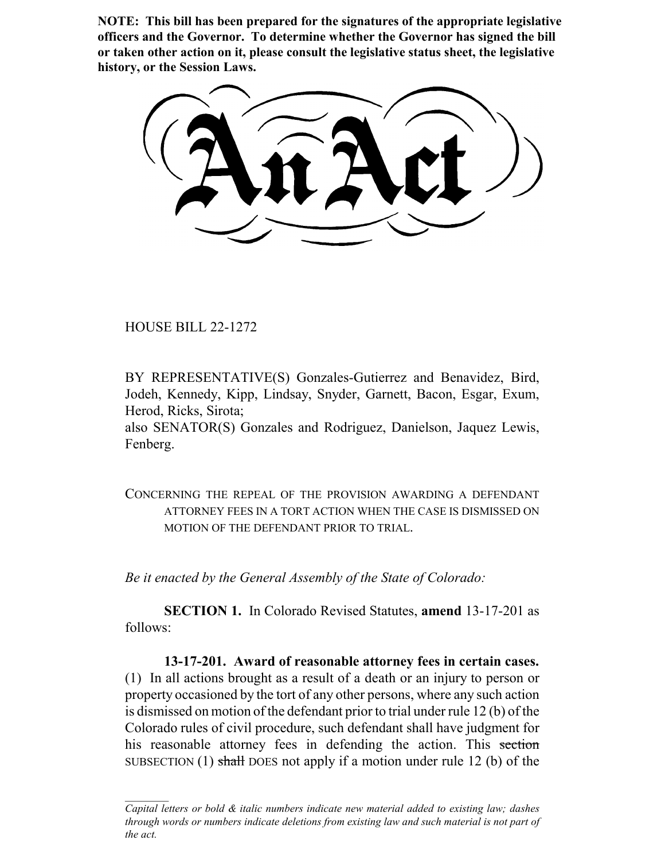**NOTE: This bill has been prepared for the signatures of the appropriate legislative officers and the Governor. To determine whether the Governor has signed the bill or taken other action on it, please consult the legislative status sheet, the legislative history, or the Session Laws.**

HOUSE BILL 22-1272

BY REPRESENTATIVE(S) Gonzales-Gutierrez and Benavidez, Bird, Jodeh, Kennedy, Kipp, Lindsay, Snyder, Garnett, Bacon, Esgar, Exum, Herod, Ricks, Sirota;

also SENATOR(S) Gonzales and Rodriguez, Danielson, Jaquez Lewis, Fenberg.

CONCERNING THE REPEAL OF THE PROVISION AWARDING A DEFENDANT ATTORNEY FEES IN A TORT ACTION WHEN THE CASE IS DISMISSED ON MOTION OF THE DEFENDANT PRIOR TO TRIAL.

*Be it enacted by the General Assembly of the State of Colorado:*

**SECTION 1.** In Colorado Revised Statutes, **amend** 13-17-201 as follows:

**13-17-201. Award of reasonable attorney fees in certain cases.** (1) In all actions brought as a result of a death or an injury to person or property occasioned by the tort of any other persons, where any such action is dismissed on motion of the defendant prior to trial under rule 12 (b) of the Colorado rules of civil procedure, such defendant shall have judgment for his reasonable attorney fees in defending the action. This section SUBSECTION (1) shall DOES not apply if a motion under rule 12 (b) of the

*Capital letters or bold & italic numbers indicate new material added to existing law; dashes through words or numbers indicate deletions from existing law and such material is not part of the act.*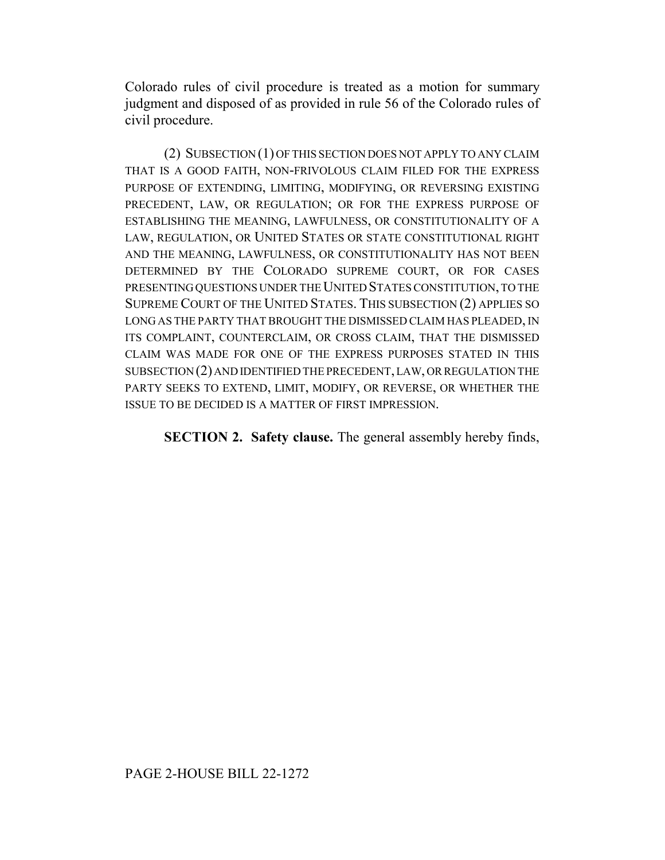Colorado rules of civil procedure is treated as a motion for summary judgment and disposed of as provided in rule 56 of the Colorado rules of civil procedure.

(2) SUBSECTION (1) OF THIS SECTION DOES NOT APPLY TO ANY CLAIM THAT IS A GOOD FAITH, NON-FRIVOLOUS CLAIM FILED FOR THE EXPRESS PURPOSE OF EXTENDING, LIMITING, MODIFYING, OR REVERSING EXISTING PRECEDENT, LAW, OR REGULATION; OR FOR THE EXPRESS PURPOSE OF ESTABLISHING THE MEANING, LAWFULNESS, OR CONSTITUTIONALITY OF A LAW, REGULATION, OR UNITED STATES OR STATE CONSTITUTIONAL RIGHT AND THE MEANING, LAWFULNESS, OR CONSTITUTIONALITY HAS NOT BEEN DETERMINED BY THE COLORADO SUPREME COURT, OR FOR CASES PRESENTING QUESTIONS UNDER THE UNITED STATES CONSTITUTION, TO THE SUPREME COURT OF THE UNITED STATES. THIS SUBSECTION (2) APPLIES SO LONG AS THE PARTY THAT BROUGHT THE DISMISSED CLAIM HAS PLEADED, IN ITS COMPLAINT, COUNTERCLAIM, OR CROSS CLAIM, THAT THE DISMISSED CLAIM WAS MADE FOR ONE OF THE EXPRESS PURPOSES STATED IN THIS SUBSECTION (2) AND IDENTIFIED THE PRECEDENT, LAW, OR REGULATION THE PARTY SEEKS TO EXTEND, LIMIT, MODIFY, OR REVERSE, OR WHETHER THE ISSUE TO BE DECIDED IS A MATTER OF FIRST IMPRESSION.

**SECTION 2. Safety clause.** The general assembly hereby finds,